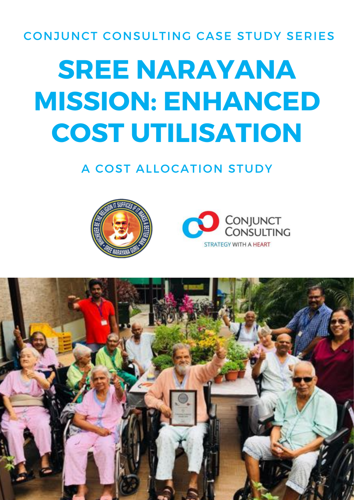#### CONJUNCT CONSULTING CASE STUDY SERIES

# **SREE NARAYANA MISSION: ENHANCED COST UTILISATION**

### A COST ALLOCATION STUDY





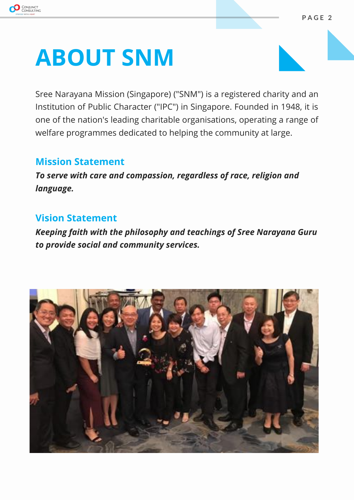

### **ABOUT SNM**

Sree Narayana Mission (Singapore) ("SNM") is a registered charity and an Institution of Public Character ("IPC") in Singapore. Founded in 1948, it is one of the nation's leading charitable organisations, operating a range of welfare programmes dedicated to helping the community at large.

#### **Mission Statement**

To serve with care and compassion, regardless of race, religion and language.

#### **Vision Statement**

Keeping faith with the philosophy and teachings of Sree Narayana Guru to provide social and community services.

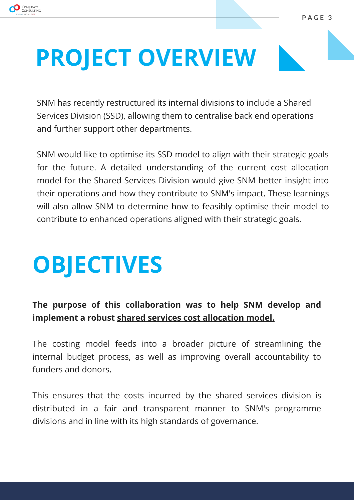

### **PROJECT OVERVIEW**

SNM has recently restructured its internal divisions to include a Shared Services Division (SSD), allowing them to centralise back end operations and further support other departments.

SNM would like to optimise its SSD model to align with their strategic goals for the future. A detailed understanding of the current cost allocation model for the Shared Services Division would give SNM better insight into their operations and how they contribute to SNM's impact. These learnings will also allow SNM to determine how to feasibly optimise their model to contribute to enhanced operations aligned with their strategic goals.

## **OBJECTIVES**

#### The purpose of this collaboration was to help SNM develop and implement a robust shared services cost allocation model.

The costing model feeds into a broader picture of streamlining the internal budget process, as well as improving overall accountability to funders and donors.

This ensures that the costs incurred by the shared services division is distributed in a fair and transparent manner to SNM's programme divisions and in line with its high standards of governance.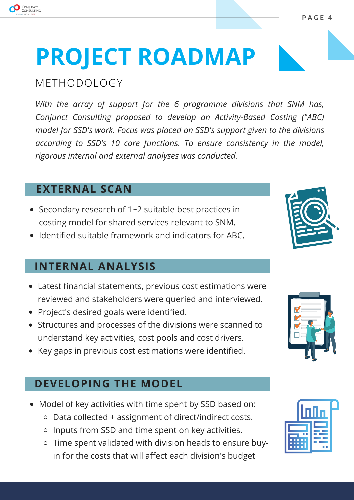

#### METHODOLOGY

CONJUNCT

With the array of support for the 6 programme divisions that SNM has, Conjunct Consulting proposed to develop an Activity-Based Costing ("ABC) model for SSD's work. Focus was placed on SSD's support given to the divisions according to SSD's 10 core functions. To ensure consistency in the model, rigorous internal and external analyses was conducted.

#### **EXTERNAL SCAN**

- Secondary research of 1~2 suitable best practices in costing model for shared services relevant to SNM.
- Identified suitable framework and indicators for ABC.

#### **INTERNAL ANALYSIS**

- Latest financial statements, previous cost estimations were reviewed and stakeholders were queried and interviewed.
- Project's desired goals were identified.
- Structures and processes of the divisions were scanned to understand key activities, cost pools and cost drivers.
- Key gaps in previous cost estimations were identified.

#### **DEVELOPING THE MODEL**

- Model of key activities with time spent by SSD based on:
	- Data collected + assignment of direct/indirect costs.
	- Inputs from SSD and time spent on key activities.
	- o Time spent validated with division heads to ensure buyin for the costs that will affect each division's budget







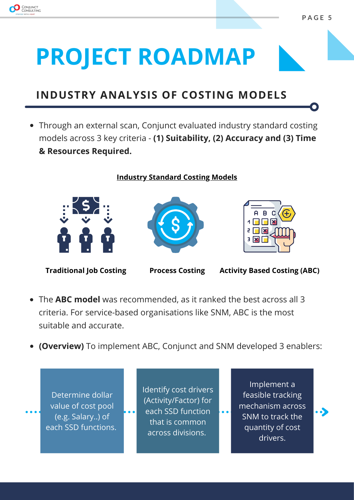

#### **INDUSTRY ANALYSIS OF COSTING MODELS**

Through an external scan, Conjunct evaluated industry standard costing models across 3 key criteria - (1) Suitability, (2) Accuracy and (3) Time  $k$  **Resources Required.** 

**Industry Standard Costing Models** 







**Traditional Job Costing Process Costing Activity Based Costing (ABC)** 

- The **ABC model** was recommended, as it ranked the best across all 3 criteria. For service-based organisations like SNM, ABC is the most suitable and accurate.
- **(Overview)** To implement ABC, Conjunct and SNM developed 3 enablers:

Determine dollar value of cost pool (e.g. Salary..) of each SSD functions. Identify cost drivers (Activity/Factor) for each SSD function that is common across divisions.

Implement a feasible tracking mechanism across SNM to track the quantity of cost drivers.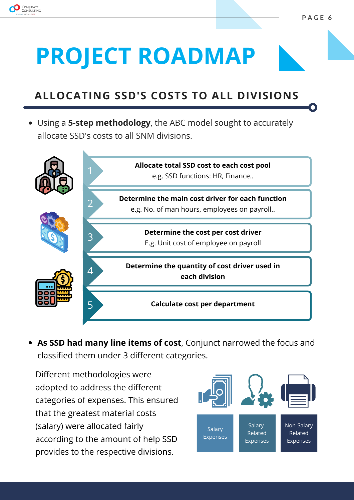

### **ALLOCATING SSD'S COSTS TO ALL DIVISIONS**

• Using a 5-step methodology, the ABC model sought to accurately allocate SSD's costs to all SNM divisions.



**As SSD had many line items of cost**, Conjunct narrowed the focus and classified them under 3 different categories.

Different methodologies were adopted to address the different categories of expenses. This ensured that the greatest material costs (salary) were allocated fairly according to the amount of help SSD provides to the respective divisions.

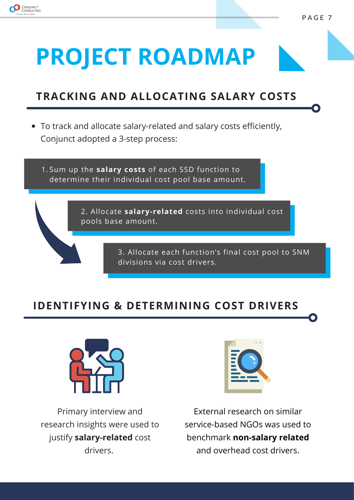

### *TRACKING AND ALLOCATING SALARY COSTS*

To track and allocate salary-related and salary costs efficiently, Conjunct adopted a 3-step process:

1.Sum up the **salary costs** of each SSD function to determine their individual cost pool base amount.

> 2. Allocate salary-related costs into individual cost pools base amount.

> > 3. Allocate each function's final cost pool to SNM divisions via cost drivers.

#### **IDENTIFYING & DETERMINING COST DRIVERS**



Primary interview and research insights were used to justify **salary-related** cost drivers.



External research on similar service-based NGOs was used to benchmark **non-salary related** and overhead cost drivers.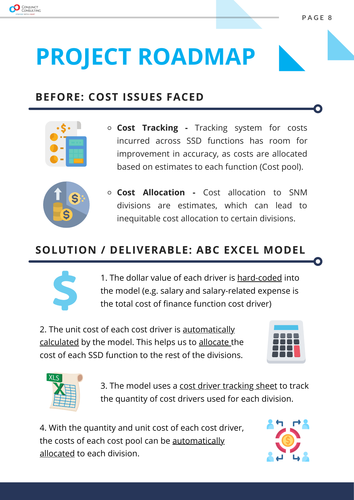

#### **BEFORE: COST ISSUES FACED**



 $\circ$  **Cost Tracking -** Tracking system for costs incurred across SSD functions has room for improvement in accuracy, as costs are allocated based on estimates to each function (Cost pool).



**c Cost Allocation -** Cost allocation to SNM divisions are estimates, which can lead to inequitable cost allocation to certain divisions.

#### **62DLUTION / DELIVERABLE: ABC EXCEL MODEL**



1. The dollar value of each driver is hard-coded into the model (e.g. salary and salary-related expense is the total cost of finance function cost driver)

2. The unit cost of each cost driver is automatically calculated by the model. This helps us to allocate the cost of each SSD function to the rest of the divisions.





3. The model uses a cost driver tracking sheet to track the quantity of cost drivers used for each division.

4. With the quantity and unit cost of each cost driver, the costs of each cost pool can be automatically allocated to each division.

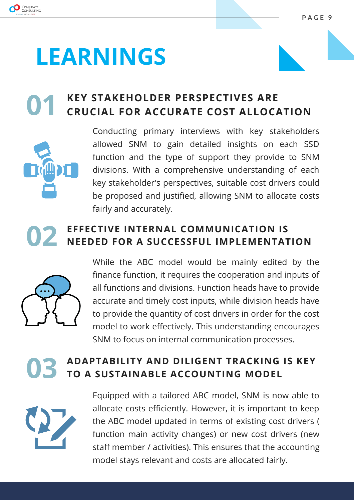

### **LEARNINGS**

### **KEY STAKEHOLDER PERSPECTIVES ARE CRUCIAL FOR ACCURATE COST ALLOCATION**



Conducting primary interviews with key stakeholders allowed SNM to gain detailed insights on each SSD function and the type of support they provide to SNM divisions. With a comprehensive understanding of each key stakeholder's perspectives, suitable cost drivers could be proposed and justified, allowing SNM to allocate costs fairly and accurately.

#### EFFECTIVE INTERNAL COMMUNICATION IS NEEDED FOR A SUCCESSFUL IMPLEMENTATION



While the ABC model would be mainly edited by the finance function, it requires the cooperation and inputs of all functions and divisions. Function heads have to provide accurate and timely cost inputs, while division heads have to provide the quantity of cost drivers in order for the cost model to work effectively. This understanding encourages SNM to focus on internal communication processes.

#### **ADAPTABILITY AND DILIGENT TRACKING IS KEY** TO A SUSTAINABLE ACCOUNTING MODEL



Equipped with a tailored ABC model, SNM is now able to allocate costs efficiently. However, it is important to keep the ABC model updated in terms of existing cost drivers ( function main activity changes) or new cost drivers (new staff member / activities). This ensures that the accounting model stays relevant and costs are allocated fairly.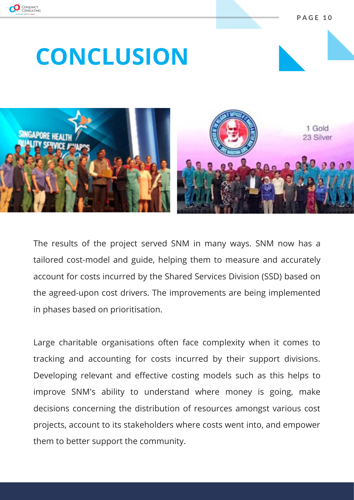

**3 \$ \* ( 1 0**

### **CONCLUSION**



The results of the project served SNM in many ways. SNM now has a tailored cost-model and guide, helping them to measure and accurately account for costs incurred by the Shared Services Division (SSD) based on the agreed-upon cost drivers. The improvements are being implemented in phases based on prioritisation.

Large charitable organisations often face complexity when it comes to tracking and accounting for costs incurred by their support divisions. Developing relevant and effective costing models such as this helps to improve SNM's ability to understand where money is going, make decisions concerning the distribution of resources amongst various cost projects, account to its stakeholders where costs went into, and empower them to better support the community.